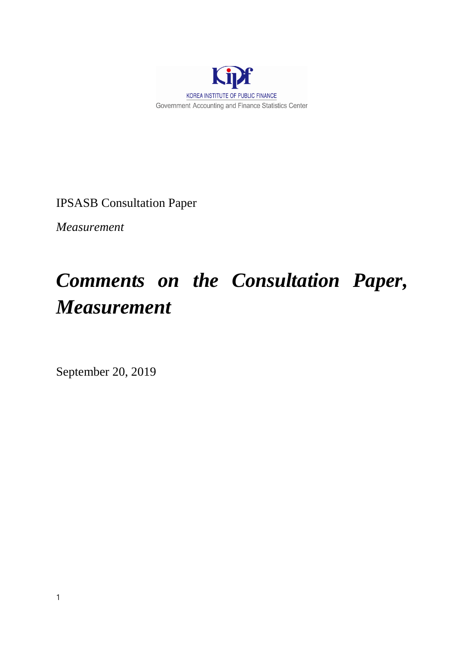

IPSASB Consultation Paper

*Measurement*

# *Comments on the Consultation Paper, Measurement*

September 20, 2019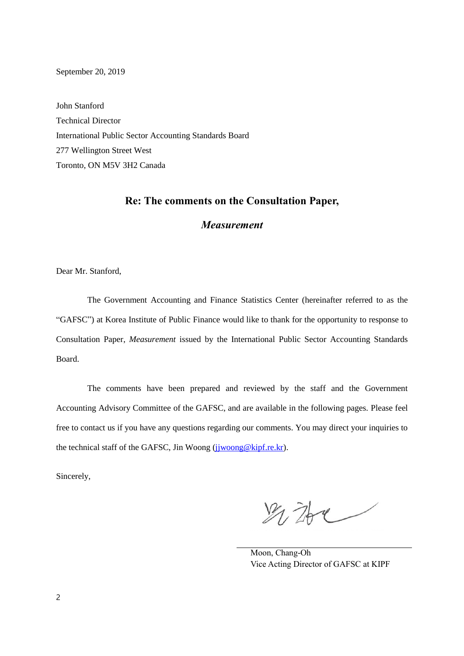September 20, 2019

John Stanford Technical Director International Public Sector Accounting Standards Board 277 Wellington Street West Toronto, ON M5V 3H2 Canada

# **Re: The comments on the Consultation Paper,**

# *Measurement*

Dear Mr. Stanford,

The Government Accounting and Finance Statistics Center (hereinafter referred to as the "GAFSC") at Korea Institute of Public Finance would like to thank for the opportunity to response to Consultation Paper, *Measurement* issued by the International Public Sector Accounting Standards Board.

The comments have been prepared and reviewed by the staff and the Government Accounting Advisory Committee of the GAFSC, and are available in the following pages. Please feel free to contact us if you have any questions regarding our comments. You may direct your inquiries to the technical staff of the GAFSC, Jin Woong (juwoong@kipf.re.kr).

Sincerely,

为孙

Moon, Chang-Oh Vice Acting Director of GAFSC at KIPF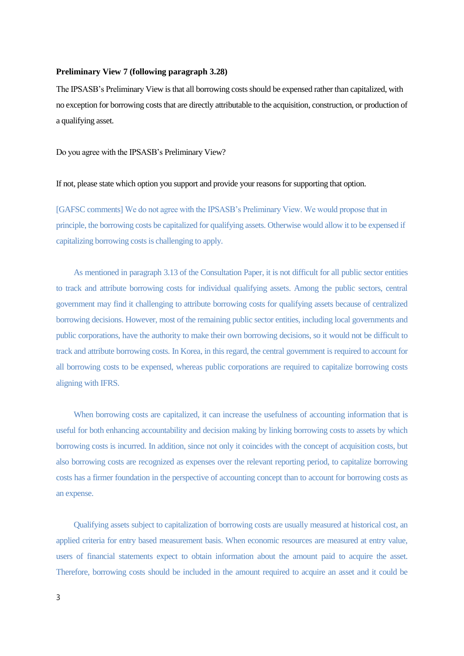#### **Preliminary View 7 (following paragraph 3.28)**

The IPSASB's Preliminary View is that all borrowing costs should be expensed rather than capitalized, with no exception for borrowing costs that are directly attributable to the acquisition, construction, or production of a qualifying asset.

Do you agree with the IPSASB's Preliminary View?

If not, please state which option you support and provide your reasons for supporting that option.

[GAFSC comments] We do not agree with the IPSASB's Preliminary View. We would propose that in principle, the borrowing costs be capitalized for qualifying assets. Otherwise would allow it to be expensed if capitalizing borrowing costs is challenging to apply.

As mentioned in paragraph 3.13 of the Consultation Paper, it is not difficult for all public sector entities to track and attribute borrowing costs for individual qualifying assets. Among the public sectors, central government may find it challenging to attribute borrowing costs for qualifying assets because of centralized borrowing decisions. However, most of the remaining public sector entities, including local governments and public corporations, have the authority to make their own borrowing decisions, so it would not be difficult to track and attribute borrowing costs. In Korea, in this regard, the central government is required to account for all borrowing costs to be expensed, whereas public corporations are required to capitalize borrowing costs aligning with IFRS.

When borrowing costs are capitalized, it can increase the usefulness of accounting information that is useful for both enhancing accountability and decision making by linking borrowing costs to assets by which borrowing costs is incurred. In addition, since not only it coincides with the concept of acquisition costs, but also borrowing costs are recognized as expenses over the relevant reporting period, to capitalize borrowing costs has a firmer foundation in the perspective of accounting concept than to account for borrowing costs as an expense.

Qualifying assets subject to capitalization of borrowing costs are usually measured at historical cost, an applied criteria for entry based measurement basis. When economic resources are measured at entry value, users of financial statements expect to obtain information about the amount paid to acquire the asset. Therefore, borrowing costs should be included in the amount required to acquire an asset and it could be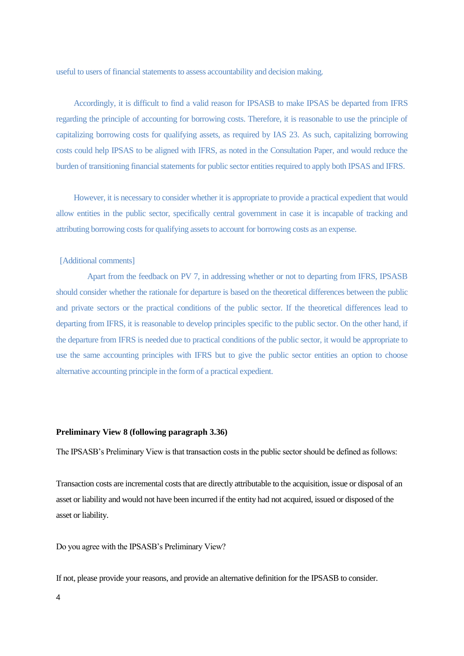useful to users of financial statements to assess accountability and decision making.

Accordingly, it is difficult to find a valid reason for IPSASB to make IPSAS be departed from IFRS regarding the principle of accounting for borrowing costs. Therefore, it is reasonable to use the principle of capitalizing borrowing costs for qualifying assets, as required by IAS 23. As such, capitalizing borrowing costs could help IPSAS to be aligned with IFRS, as noted in the Consultation Paper, and would reduce the burden of transitioning financial statements for public sector entities required to apply both IPSAS and IFRS.

However, it is necessary to consider whether it is appropriate to provide a practical expedient that would allow entities in the public sector, specifically central government in case it is incapable of tracking and attributing borrowing costs for qualifying assets to account for borrowing costs as an expense.

# [Additional comments]

Apart from the feedback on PV 7, in addressing whether or not to departing from IFRS, IPSASB should consider whether the rationale for departure is based on the theoretical differences between the public and private sectors or the practical conditions of the public sector. If the theoretical differences lead to departing from IFRS, it is reasonable to develop principles specific to the public sector. On the other hand, if the departure from IFRS is needed due to practical conditions of the public sector, it would be appropriate to use the same accounting principles with IFRS but to give the public sector entities an option to choose alternative accounting principle in the form of a practical expedient.

#### **Preliminary View 8 (following paragraph 3.36)**

The IPSASB's Preliminary View is that transaction costs in the public sector should be defined as follows:

Transaction costs are incremental costs that are directly attributable to the acquisition, issue or disposal of an asset or liability and would not have been incurred if the entity had not acquired, issued or disposed of the asset or liability.

Do you agree with the IPSASB's Preliminary View?

If not, please provide your reasons, and provide an alternative definition for the IPSASB to consider.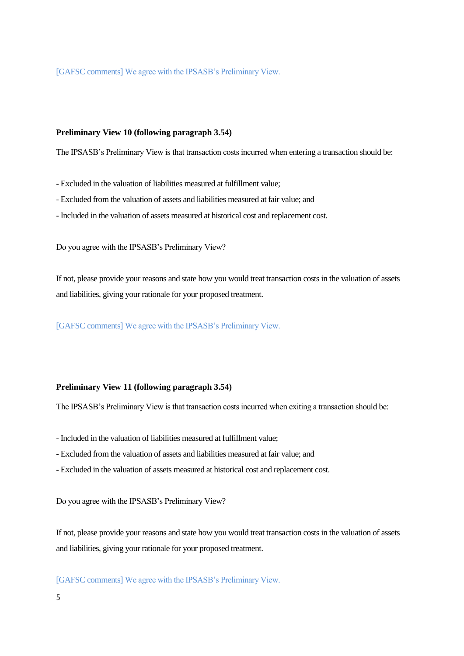[GAFSC comments] We agree with the IPSASB's Preliminary View.

## **Preliminary View 10 (following paragraph 3.54)**

The IPSASB's Preliminary View is that transaction costs incurred when entering a transaction should be:

- Excluded in the valuation of liabilities measured at fulfillment value;

- Excluded from the valuation of assets and liabilities measured at fair value; and
- Included in the valuation of assets measured at historical cost and replacement cost.

Do you agree with the IPSASB's Preliminary View?

If not, please provide your reasons and state how you would treat transaction costs in the valuation of assets and liabilities, giving your rationale for your proposed treatment.

[GAFSC comments] We agree with the IPSASB's Preliminary View.

## **Preliminary View 11 (following paragraph 3.54)**

The IPSASB's Preliminary View is that transaction costs incurred when exiting a transaction should be:

- Included in the valuation of liabilities measured at fulfillment value;
- Excluded from the valuation of assets and liabilities measured at fair value; and
- Excluded in the valuation of assets measured at historical cost and replacement cost.

Do you agree with the IPSASB's Preliminary View?

If not, please provide your reasons and state how you would treat transaction costs in the valuation of assets and liabilities, giving your rationale for your proposed treatment.

[GAFSC comments] We agree with the IPSASB's Preliminary View.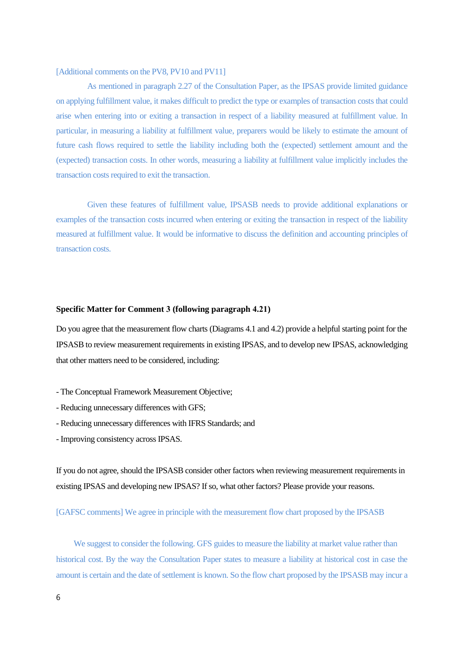#### [Additional comments on the PV8, PV10 and PV11]

As mentioned in paragraph 2.27 of the Consultation Paper, as the IPSAS provide limited guidance on applying fulfillment value, it makes difficult to predict the type or examples of transaction costs that could arise when entering into or exiting a transaction in respect of a liability measured at fulfillment value. In particular, in measuring a liability at fulfillment value, preparers would be likely to estimate the amount of future cash flows required to settle the liability including both the (expected) settlement amount and the (expected) transaction costs. In other words, measuring a liability at fulfillment value implicitly includes the transaction costs required to exit the transaction.

Given these features of fulfillment value, IPSASB needs to provide additional explanations or examples of the transaction costs incurred when entering or exiting the transaction in respect of the liability measured at fulfillment value. It would be informative to discuss the definition and accounting principles of transaction costs.

#### **Specific Matter for Comment 3 (following paragraph 4.21)**

Do you agree that the measurement flow charts (Diagrams 4.1 and 4.2) provide a helpful starting point for the IPSASB to review measurement requirements in existing IPSAS, and to develop new IPSAS, acknowledging that other matters need to be considered, including:

- The Conceptual Framework Measurement Objective;
- Reducing unnecessary differences with GFS;
- Reducing unnecessary differences with IFRS Standards; and
- Improving consistency across IPSAS.

If you do not agree, should the IPSASB consider other factors when reviewing measurement requirements in existing IPSAS and developing new IPSAS? If so, what other factors? Please provide your reasons.

[GAFSC comments] We agree in principle with the measurement flow chart proposed by the IPSASB

We suggest to consider the following. GFS guides to measure the liability at market value rather than historical cost. By the way the Consultation Paper states to measure a liability at historical cost in case the amount is certain and the date of settlement is known. So the flow chart proposed by the IPSASB may incur a